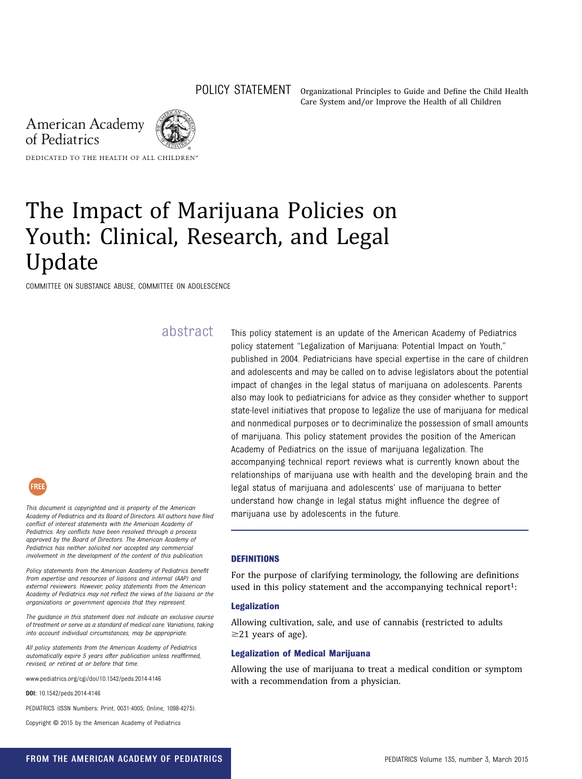POLICY STATEMENT Organizational Principles to Guide and Define the Child Health Care System and/or Improve the Health of all Children





# The Impact of Marijuana Policies on Youth: Clinical, Research, and Legal Update

COMMITTEE ON SUBSTANCE ABUSE, COMMITTEE ON ADOLESCENCE

abstract This policy statement is an update of the American Academy of Pediatrics policy statement "Legalization of Marijuana: Potential Impact on Youth," published in 2004. Pediatricians have special expertise in the care of children and adolescents and may be called on to advise legislators about the potential impact of changes in the legal status of marijuana on adolescents. Parents also may look to pediatricians for advice as they consider whether to support state-level initiatives that propose to legalize the use of marijuana for medical and nonmedical purposes or to decriminalize the possession of small amounts of marijuana. This policy statement provides the position of the American Academy of Pediatrics on the issue of marijuana legalization. The accompanying technical report reviews what is currently known about the relationships of marijuana use with health and the developing brain and the legal status of marijuana and adolescents' use of marijuana to better understand how change in legal status might influence the degree of marijuana use by adolescents in the future.

## FREE

This document is copyrighted and is property of the American Academy of Pediatrics and its Board of Directors. All authors have filed conflict of interest statements with the American Academy of Pediatrics. Any conflicts have been resolved through a process approved by the Board of Directors. The American Academy of Pediatrics has neither solicited nor accepted any commercial involvement in the development of the content of this publication.

Policy statements from the American Academy of Pediatrics benefit from expertise and resources of liaisons and internal (AAP) and external reviewers. However, policy statements from the American Academy of Pediatrics may not reflect the views of the liaisons or the organizations or government agencies that they represent.

The guidance in this statement does not indicate an exclusive course of treatment or serve as a standard of medical care. Variations, taking into account individual circumstances, may be appropriate.

All policy statements from the American Academy of Pediatrics automatically expire 5 years after publication unless reaffirmed, revised, or retired at or before that time.

www.pediatrics.org/cgi/doi/10.1542/peds.2014-4146

DOI: 10.1542/peds.2014-4146

PEDIATRICS (ISSN Numbers: Print, 0031-4005; Online, 1098-4275).

Copyright © 2015 by the American Academy of Pediatrics

#### **DEFINITIONS**

For the purpose of clarifying terminology, the following are definitions used in this policy statement and the accompanying technical report<sup>1</sup>:

#### Legalization

Allowing cultivation, sale, and use of cannabis (restricted to adults  $\geq$ 21 years of age).

#### Legalization of Medical Marijuana

Allowing the use of marijuana to treat a medical condition or symptom with a recommendation from a physician.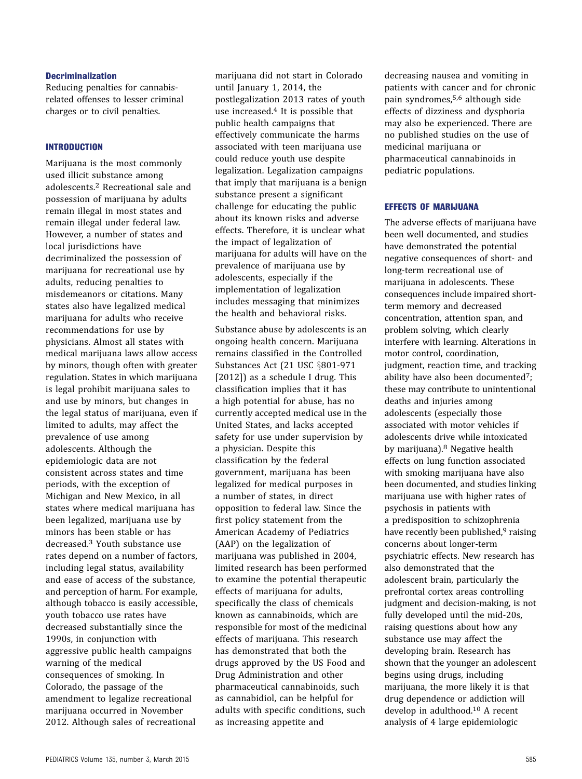#### **Decriminalization**

Reducing penalties for cannabisrelated offenses to lesser criminal charges or to civil penalties.

#### INTRODUCTION

Marijuana is the most commonly used illicit substance among adolescents.2 Recreational sale and possession of marijuana by adults remain illegal in most states and remain illegal under federal law. However, a number of states and local jurisdictions have decriminalized the possession of marijuana for recreational use by adults, reducing penalties to misdemeanors or citations. Many states also have legalized medical marijuana for adults who receive recommendations for use by physicians. Almost all states with medical marijuana laws allow access by minors, though often with greater regulation. States in which marijuana is legal prohibit marijuana sales to and use by minors, but changes in the legal status of marijuana, even if limited to adults, may affect the prevalence of use among adolescents. Although the epidemiologic data are not consistent across states and time periods, with the exception of Michigan and New Mexico, in all states where medical marijuana has been legalized, marijuana use by minors has been stable or has decreased.3 Youth substance use rates depend on a number of factors, including legal status, availability and ease of access of the substance, and perception of harm. For example, although tobacco is easily accessible, youth tobacco use rates have decreased substantially since the 1990s, in conjunction with aggressive public health campaigns warning of the medical consequences of smoking. In Colorado, the passage of the amendment to legalize recreational marijuana occurred in November 2012. Although sales of recreational

marijuana did not start in Colorado until January 1, 2014, the postlegalization 2013 rates of youth use increased. $4$  It is possible that public health campaigns that effectively communicate the harms associated with teen marijuana use could reduce youth use despite legalization. Legalization campaigns that imply that marijuana is a benign substance present a significant challenge for educating the public about its known risks and adverse effects. Therefore, it is unclear what the impact of legalization of marijuana for adults will have on the prevalence of marijuana use by adolescents, especially if the implementation of legalization includes messaging that minimizes the health and behavioral risks.

Substance abuse by adolescents is an ongoing health concern. Marijuana remains classified in the Controlled Substances Act (21 USC §801-971 [2012]) as a schedule I drug. This classification implies that it has a high potential for abuse, has no currently accepted medical use in the United States, and lacks accepted safety for use under supervision by a physician. Despite this classification by the federal government, marijuana has been legalized for medical purposes in a number of states, in direct opposition to federal law. Since the first policy statement from the American Academy of Pediatrics (AAP) on the legalization of marijuana was published in 2004. limited research has been performed to examine the potential therapeutic effects of marijuana for adults, specifically the class of chemicals known as cannabinoids, which are responsible for most of the medicinal effects of marijuana. This research has demonstrated that both the drugs approved by the US Food and Drug Administration and other pharmaceutical cannabinoids, such as cannabidiol, can be helpful for adults with specific conditions, such as increasing appetite and

decreasing nausea and vomiting in patients with cancer and for chronic pain syndromes,5,6 although side effects of dizziness and dysphoria may also be experienced. There are no published studies on the use of medicinal marijuana or pharmaceutical cannabinoids in pediatric populations.

#### EFFECTS OF MARIJUANA

The adverse effects of marijuana have been well documented, and studies have demonstrated the potential negative consequences of short- and long-term recreational use of marijuana in adolescents. These consequences include impaired shortterm memory and decreased concentration, attention span, and problem solving, which clearly interfere with learning. Alterations in motor control, coordination, judgment, reaction time, and tracking ability have also been documented7; these may contribute to unintentional deaths and injuries among adolescents (especially those associated with motor vehicles if adolescents drive while intoxicated by marijuana).8 Negative health effects on lung function associated with smoking marijuana have also been documented, and studies linking marijuana use with higher rates of psychosis in patients with a predisposition to schizophrenia have recently been published,<sup>9</sup> raising concerns about longer-term psychiatric effects. New research has also demonstrated that the adolescent brain, particularly the prefrontal cortex areas controlling judgment and decision-making, is not fully developed until the mid-20s, raising questions about how any substance use may affect the developing brain. Research has shown that the younger an adolescent begins using drugs, including marijuana, the more likely it is that drug dependence or addiction will develop in adulthood.10 A recent analysis of 4 large epidemiologic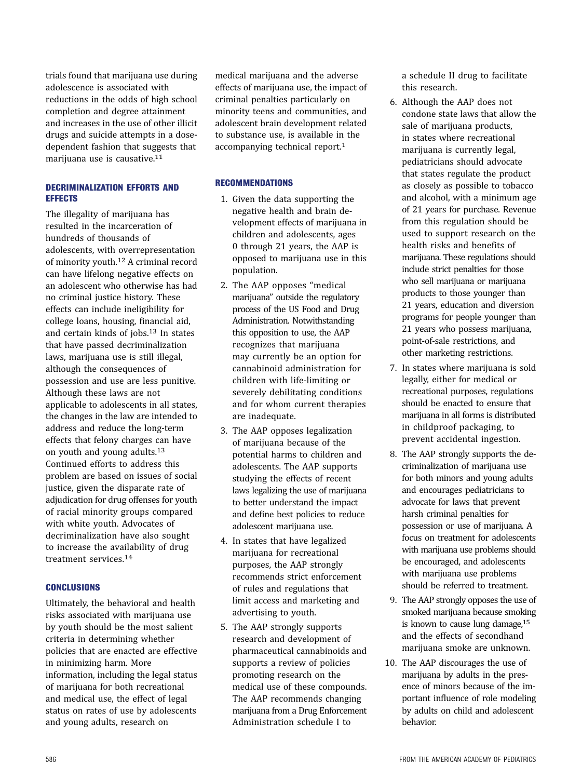trials found that marijuana use during adolescence is associated with reductions in the odds of high school completion and degree attainment and increases in the use of other illicit drugs and suicide attempts in a dosedependent fashion that suggests that marijuana use is causative.11

### DECRIMINALIZATION EFFORTS AND EFFECTS

The illegality of marijuana has resulted in the incarceration of hundreds of thousands of adolescents, with overrepresentation of minority youth.12 A criminal record can have lifelong negative effects on an adolescent who otherwise has had no criminal justice history. These effects can include ineligibility for college loans, housing, financial aid, and certain kinds of jobs.13 In states that have passed decriminalization laws, marijuana use is still illegal, although the consequences of possession and use are less punitive. Although these laws are not applicable to adolescents in all states, the changes in the law are intended to address and reduce the long-term effects that felony charges can have on youth and young adults.13 Continued efforts to address this problem are based on issues of social justice, given the disparate rate of adjudication for drug offenses for youth of racial minority groups compared with white youth. Advocates of decriminalization have also sought to increase the availability of drug treatment services.14

### **CONCLUSIONS**

Ultimately, the behavioral and health risks associated with marijuana use by youth should be the most salient criteria in determining whether policies that are enacted are effective in minimizing harm. More information, including the legal status of marijuana for both recreational and medical use, the effect of legal status on rates of use by adolescents and young adults, research on

medical marijuana and the adverse effects of marijuana use, the impact of criminal penalties particularly on minority teens and communities, and adolescent brain development related to substance use, is available in the accompanying technical report.1

### RECOMMENDATIONS

- 1. Given the data supporting the negative health and brain development effects of marijuana in children and adolescents, ages 0 through 21 years, the AAP is opposed to marijuana use in this population.
- 2. The AAP opposes "medical marijuana" outside the regulatory process of the US Food and Drug Administration. Notwithstanding this opposition to use, the AAP recognizes that marijuana may currently be an option for cannabinoid administration for children with life-limiting or severely debilitating conditions and for whom current therapies are inadequate.
- 3. The AAP opposes legalization of marijuana because of the potential harms to children and adolescents. The AAP supports studying the effects of recent laws legalizing the use of marijuana to better understand the impact and define best policies to reduce adolescent marijuana use.
- 4. In states that have legalized marijuana for recreational purposes, the AAP strongly recommends strict enforcement of rules and regulations that limit access and marketing and advertising to youth.
- 5. The AAP strongly supports research and development of pharmaceutical cannabinoids and supports a review of policies promoting research on the medical use of these compounds. The AAP recommends changing marijuana from a Drug Enforcement Administration schedule I to

a schedule II drug to facilitate this research.

- 6. Although the AAP does not condone state laws that allow the sale of marijuana products, in states where recreational marijuana is currently legal, pediatricians should advocate that states regulate the product as closely as possible to tobacco and alcohol, with a minimum age of 21 years for purchase. Revenue from this regulation should be used to support research on the health risks and benefits of marijuana. These regulations should include strict penalties for those who sell marijuana or marijuana products to those younger than 21 years, education and diversion programs for people younger than 21 years who possess marijuana, point-of-sale restrictions, and other marketing restrictions.
- 7. In states where marijuana is sold legally, either for medical or recreational purposes, regulations should be enacted to ensure that marijuana in all forms is distributed in childproof packaging, to prevent accidental ingestion.
- 8. The AAP strongly supports the decriminalization of marijuana use for both minors and young adults and encourages pediatricians to advocate for laws that prevent harsh criminal penalties for possession or use of marijuana. A focus on treatment for adolescents with marijuana use problems should be encouraged, and adolescents with marijuana use problems should be referred to treatment.
- 9. The AAP strongly opposes the use of smoked marijuana because smoking is known to cause lung damage,15 and the effects of secondhand marijuana smoke are unknown.
- 10. The AAP discourages the use of marijuana by adults in the presence of minors because of the important influence of role modeling by adults on child and adolescent behavior.